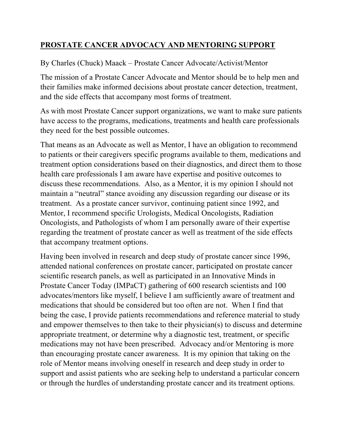## **PROSTATE CANCER ADVOCACY AND MENTORING SUPPORT**

## By Charles (Chuck) Maack – Prostate Cancer Advocate/Activist/Mentor

The mission of a Prostate Cancer Advocate and Mentor should be to help men and their families make informed decisions about prostate cancer detection, treatment, and the side effects that accompany most forms of treatment.

As with most Prostate Cancer support organizations, we want to make sure patients have access to the programs, medications, treatments and health care professionals they need for the best possible outcomes.

That means as an Advocate as well as Mentor, I have an obligation to recommend to patients or their caregivers specific programs available to them, medications and treatment option considerations based on their diagnostics, and direct them to those health care professionals I am aware have expertise and positive outcomes to discuss these recommendations. Also, as a Mentor, it is my opinion I should not maintain a "neutral" stance avoiding any discussion regarding our disease or its treatment. As a prostate cancer survivor, continuing patient since 1992, and Mentor, I recommend specific Urologists, Medical Oncologists, Radiation Oncologists, and Pathologists of whom I am personally aware of their expertise regarding the treatment of prostate cancer as well as treatment of the side effects that accompany treatment options.

Having been involved in research and deep study of prostate cancer since 1996, attended national conferences on prostate cancer, participated on prostate cancer scientific research panels, as well as participated in an Innovative Minds in Prostate Cancer Today (IMPaCT) gathering of 600 research scientists and 100 advocates/mentors like myself, I believe I am sufficiently aware of treatment and medications that should be considered but too often are not. When I find that being the case, I provide patients recommendations and reference material to study and empower themselves to then take to their physician(s) to discuss and determine appropriate treatment, or determine why a diagnostic test, treatment, or specific medications may not have been prescribed. Advocacy and/or Mentoring is more than encouraging prostate cancer awareness. It is my opinion that taking on the role of Mentor means involving oneself in research and deep study in order to support and assist patients who are seeking help to understand a particular concern or through the hurdles of understanding prostate cancer and its treatment options.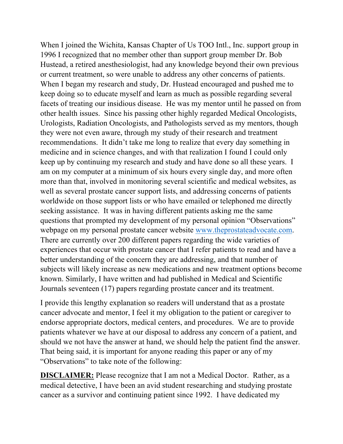When I joined the Wichita, Kansas Chapter of Us TOO Intl., Inc. support group in 1996 I recognized that no member other than support group member Dr. Bob Hustead, a retired anesthesiologist, had any knowledge beyond their own previous or current treatment, so were unable to address any other concerns of patients. When I began my research and study, Dr. Hustead encouraged and pushed me to keep doing so to educate myself and learn as much as possible regarding several facets of treating our insidious disease. He was my mentor until he passed on from other health issues. Since his passing other highly regarded Medical Oncologists, Urologists, Radiation Oncologists, and Pathologists served as my mentors, though they were not even aware, through my study of their research and treatment recommendations. It didn't take me long to realize that every day something in medicine and in science changes, and with that realization I found I could only keep up by continuing my research and study and have done so all these years. I am on my computer at a minimum of six hours every single day, and more often more than that, involved in monitoring several scientific and medical websites, as well as several prostate cancer support lists, and addressing concerns of patients worldwide on those support lists or who have emailed or telephoned me directly seeking assistance. It was in having different patients asking me the same questions that prompted my development of my personal opinion "Observations" webpage on my personal prostate cancer website www.theprostateadvocate.com. There are currently over 200 different papers regarding the wide varieties of experiences that occur with prostate cancer that I refer patients to read and have a better understanding of the concern they are addressing, and that number of subjects will likely increase as new medications and new treatment options become known. Similarly, I have written and had published in Medical and Scientific Journals seventeen (17) papers regarding prostate cancer and its treatment.

I provide this lengthy explanation so readers will understand that as a prostate cancer advocate and mentor, I feel it my obligation to the patient or caregiver to endorse appropriate doctors, medical centers, and procedures. We are to provide patients whatever we have at our disposal to address any concern of a patient, and should we not have the answer at hand, we should help the patient find the answer. That being said, it is important for anyone reading this paper or any of my "Observations" to take note of the following:

**DISCLAIMER:** Please recognize that I am not a Medical Doctor. Rather, as a medical detective, I have been an avid student researching and studying prostate cancer as a survivor and continuing patient since 1992. I have dedicated my